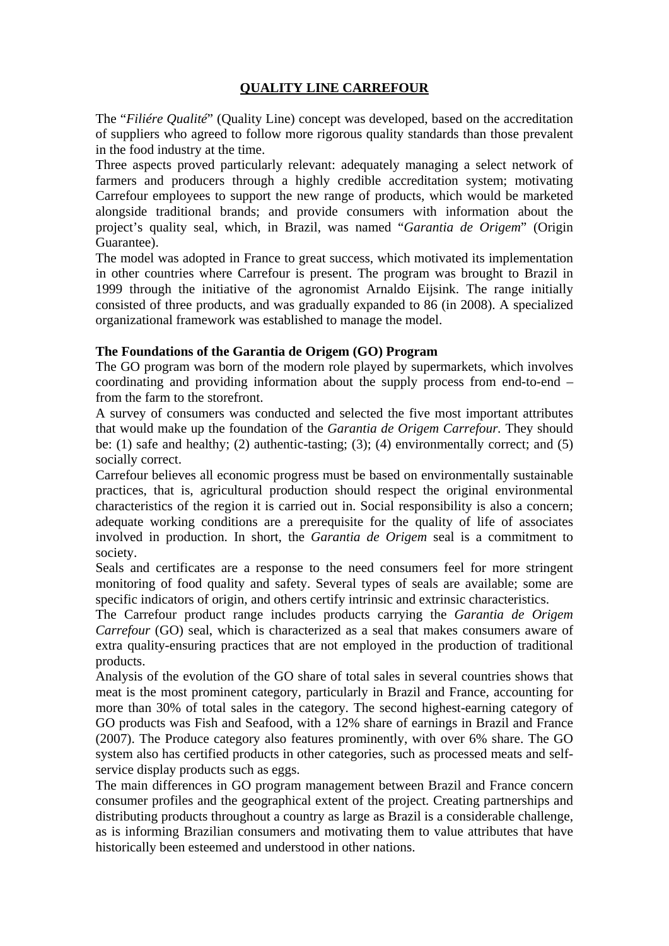# **QUALITY LINE CARREFOUR**

The "*Filiére Qualité*" (Quality Line) concept was developed, based on the accreditation of suppliers who agreed to follow more rigorous quality standards than those prevalent in the food industry at the time.

Three aspects proved particularly relevant: adequately managing a select network of farmers and producers through a highly credible accreditation system; motivating Carrefour employees to support the new range of products, which would be marketed alongside traditional brands; and provide consumers with information about the project's quality seal, which, in Brazil, was named "*Garantia de Origem*" (Origin Guarantee).

The model was adopted in France to great success, which motivated its implementation in other countries where Carrefour is present. The program was brought to Brazil in 1999 through the initiative of the agronomist Arnaldo Eijsink. The range initially consisted of three products, and was gradually expanded to 86 (in 2008). A specialized organizational framework was established to manage the model.

### **The Foundations of the Garantia de Origem (GO) Program**

The GO program was born of the modern role played by supermarkets, which involves coordinating and providing information about the supply process from end-to-end – from the farm to the storefront.

A survey of consumers was conducted and selected the five most important attributes that would make up the foundation of the *Garantia de Origem Carrefour.* They should be: (1) safe and healthy; (2) authentic-tasting; (3); (4) environmentally correct; and (5) socially correct.

Carrefour believes all economic progress must be based on environmentally sustainable practices, that is, agricultural production should respect the original environmental characteristics of the region it is carried out in. Social responsibility is also a concern; adequate working conditions are a prerequisite for the quality of life of associates involved in production. In short, the *Garantia de Origem* seal is a commitment to society.

Seals and certificates are a response to the need consumers feel for more stringent monitoring of food quality and safety. Several types of seals are available; some are specific indicators of origin, and others certify intrinsic and extrinsic characteristics.

The Carrefour product range includes products carrying the *Garantia de Origem Carrefour* (GO) seal, which is characterized as a seal that makes consumers aware of extra quality-ensuring practices that are not employed in the production of traditional products.

Analysis of the evolution of the GO share of total sales in several countries shows that meat is the most prominent category, particularly in Brazil and France, accounting for more than 30% of total sales in the category. The second highest-earning category of GO products was Fish and Seafood, with a 12% share of earnings in Brazil and France (2007). The Produce category also features prominently, with over 6% share. The GO system also has certified products in other categories, such as processed meats and selfservice display products such as eggs.

The main differences in GO program management between Brazil and France concern consumer profiles and the geographical extent of the project. Creating partnerships and distributing products throughout a country as large as Brazil is a considerable challenge, as is informing Brazilian consumers and motivating them to value attributes that have historically been esteemed and understood in other nations.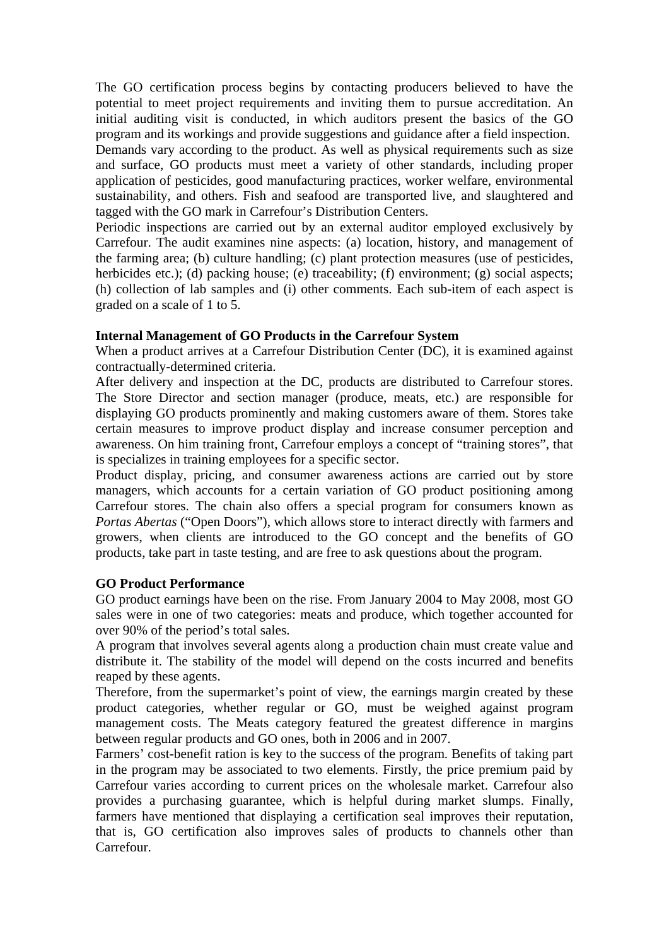The GO certification process begins by contacting producers believed to have the potential to meet project requirements and inviting them to pursue accreditation. An initial auditing visit is conducted, in which auditors present the basics of the GO program and its workings and provide suggestions and guidance after a field inspection. Demands vary according to the product. As well as physical requirements such as size and surface, GO products must meet a variety of other standards, including proper application of pesticides, good manufacturing practices, worker welfare, environmental sustainability, and others. Fish and seafood are transported live, and slaughtered and tagged with the GO mark in Carrefour's Distribution Centers.

Periodic inspections are carried out by an external auditor employed exclusively by Carrefour. The audit examines nine aspects: (a) location, history, and management of the farming area; (b) culture handling; (c) plant protection measures (use of pesticides, herbicides etc.); (d) packing house; (e) traceability; (f) environment; (g) social aspects; (h) collection of lab samples and (i) other comments. Each sub-item of each aspect is graded on a scale of 1 to 5.

#### **Internal Management of GO Products in the Carrefour System**

When a product arrives at a Carrefour Distribution Center (DC), it is examined against contractually-determined criteria.

After delivery and inspection at the DC, products are distributed to Carrefour stores. The Store Director and section manager (produce, meats, etc.) are responsible for displaying GO products prominently and making customers aware of them. Stores take certain measures to improve product display and increase consumer perception and awareness. On him training front, Carrefour employs a concept of "training stores", that is specializes in training employees for a specific sector.

Product display, pricing, and consumer awareness actions are carried out by store managers, which accounts for a certain variation of GO product positioning among Carrefour stores. The chain also offers a special program for consumers known as *Portas Abertas* ("Open Doors"), which allows store to interact directly with farmers and growers, when clients are introduced to the GO concept and the benefits of GO products, take part in taste testing, and are free to ask questions about the program.

#### **GO Product Performance**

GO product earnings have been on the rise. From January 2004 to May 2008, most GO sales were in one of two categories: meats and produce, which together accounted for over 90% of the period's total sales.

A program that involves several agents along a production chain must create value and distribute it. The stability of the model will depend on the costs incurred and benefits reaped by these agents.

Therefore, from the supermarket's point of view, the earnings margin created by these product categories, whether regular or GO, must be weighed against program management costs. The Meats category featured the greatest difference in margins between regular products and GO ones, both in 2006 and in 2007.

Farmers' cost-benefit ration is key to the success of the program. Benefits of taking part in the program may be associated to two elements. Firstly, the price premium paid by Carrefour varies according to current prices on the wholesale market. Carrefour also provides a purchasing guarantee, which is helpful during market slumps. Finally, farmers have mentioned that displaying a certification seal improves their reputation, that is, GO certification also improves sales of products to channels other than Carrefour.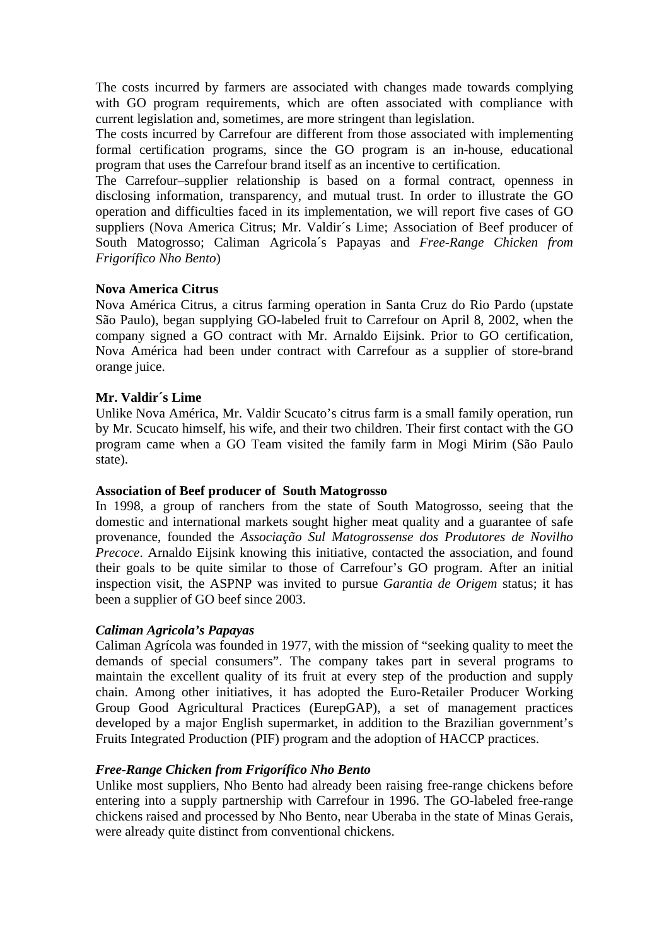The costs incurred by farmers are associated with changes made towards complying with GO program requirements, which are often associated with compliance with current legislation and, sometimes, are more stringent than legislation.

The costs incurred by Carrefour are different from those associated with implementing formal certification programs, since the GO program is an in-house, educational program that uses the Carrefour brand itself as an incentive to certification.

The Carrefour–supplier relationship is based on a formal contract, openness in disclosing information, transparency, and mutual trust. In order to illustrate the GO operation and difficulties faced in its implementation, we will report five cases of GO suppliers (Nova America Citrus; Mr. Valdir's Lime; Association of Beef producer of South Matogrosso; Caliman Agricola´s Papayas and *Free-Range Chicken from Frigorífico Nho Bento*)

### **Nova America Citrus**

Nova América Citrus, a citrus farming operation in Santa Cruz do Rio Pardo (upstate São Paulo), began supplying GO-labeled fruit to Carrefour on April 8, 2002, when the company signed a GO contract with Mr. Arnaldo Eijsink. Prior to GO certification, Nova América had been under contract with Carrefour as a supplier of store-brand orange juice.

#### **Mr. Valdir´s Lime**

Unlike Nova América, Mr. Valdir Scucato's citrus farm is a small family operation, run by Mr. Scucato himself, his wife, and their two children. Their first contact with the GO program came when a GO Team visited the family farm in Mogi Mirim (São Paulo state).

#### **Association of Beef producer of South Matogrosso**

In 1998, a group of ranchers from the state of South Matogrosso, seeing that the domestic and international markets sought higher meat quality and a guarantee of safe provenance, founded the *Associação Sul Matogrossense dos Produtores de Novilho Precoce*. Arnaldo Eijsink knowing this initiative, contacted the association, and found their goals to be quite similar to those of Carrefour's GO program. After an initial inspection visit, the ASPNP was invited to pursue *Garantia de Origem* status; it has been a supplier of GO beef since 2003.

#### *Caliman Agricola's Papayas*

Caliman Agrícola was founded in 1977, with the mission of "seeking quality to meet the demands of special consumers". The company takes part in several programs to maintain the excellent quality of its fruit at every step of the production and supply chain. Among other initiatives, it has adopted the Euro-Retailer Producer Working Group Good Agricultural Practices (EurepGAP), a set of management practices developed by a major English supermarket, in addition to the Brazilian government's Fruits Integrated Production (PIF) program and the adoption of HACCP practices.

## *Free-Range Chicken from Frigorífico Nho Bento*

Unlike most suppliers, Nho Bento had already been raising free-range chickens before entering into a supply partnership with Carrefour in 1996. The GO-labeled free-range chickens raised and processed by Nho Bento, near Uberaba in the state of Minas Gerais, were already quite distinct from conventional chickens.